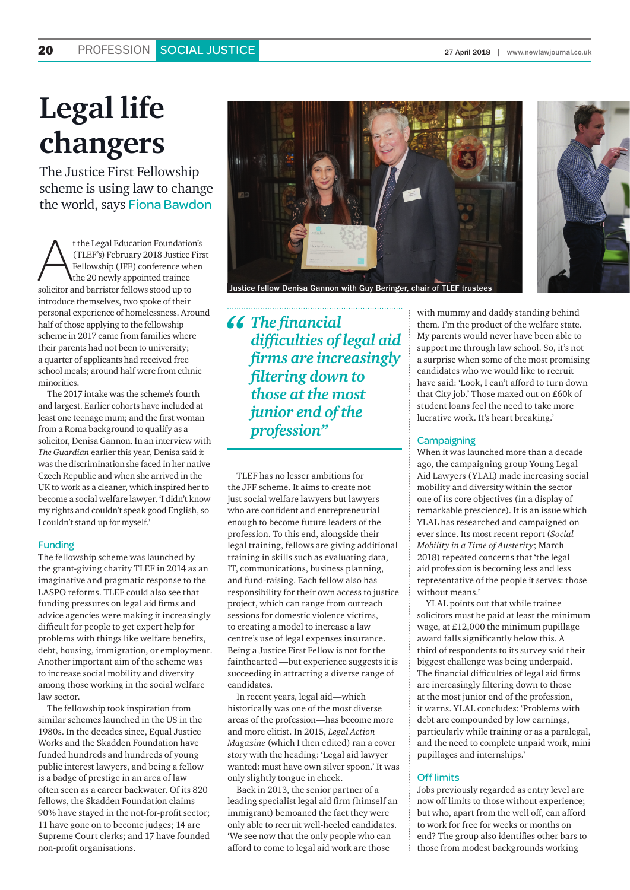# **Legal life changers**

The Justice First Fellowship scheme is using law to change the world, says Fiona Bawdon

t the Legal Education Foundation's<br>
(TLEF's) February 2018 Justice Firs<br>
Fellowship (JFF) conference when<br>
the 20 newly appointed trainee<br>
solicitor and barrister fellows stood up to (TLEF's) February 2018 Justice First Fellowship (JFF) conference when the 20 newly appointed trainee introduce themselves, two spoke of their personal experience of homelessness. Around half of those applying to the fellowship scheme in 2017 came from families where their parents had not been to university; a quarter of applicants had received free school meals; around half were from ethnic minorities.

The 2017 intake was the scheme's fourth and largest. Earlier cohorts have included at least one teenage mum; and the first woman from a Roma background to qualify as a solicitor, Denisa Gannon. In an interview with *The Guardian* earlier this year, Denisa said it was the discrimination she faced in her native Czech Republic and when she arrived in the UK to work as a cleaner, which inspired her to become a social welfare lawyer. 'I didn't know my rights and couldn't speak good English, so I couldn't stand up for myself.'

#### Funding

The fellowship scheme was launched by the grant-giving charity TLEF in 2014 as an imaginative and pragmatic response to the LASPO reforms. TLEF could also see that funding pressures on legal aid firms and advice agencies were making it increasingly difficult for people to get expert help for problems with things like welfare benefits, debt, housing, immigration, or employment. Another important aim of the scheme was to increase social mobility and diversity among those working in the social welfare law sector.

The fellowship took inspiration from similar schemes launched in the US in the 1980s. In the decades since, Equal Justice Works and the Skadden Foundation have funded hundreds and hundreds of young public interest lawyers, and being a fellow is a badge of prestige in an area of law often seen as a career backwater. Of its 820 fellows, the Skadden Foundation claims 90% have stayed in the not-for-profit sector; 11 have gone on to become judges; 14 are Supreme Court clerks; and 17 have founded non-profit organisations.



*" The financial difficulties of legal aid firms are increasingly filtering down to those at the most junior end of the profession"*

TLEF has no lesser ambitions for the JFF scheme. It aims to create not just social welfare lawyers but lawyers who are confident and entrepreneurial enough to become future leaders of the profession. To this end, alongside their legal training, fellows are giving additional training in skills such as evaluating data, IT, communications, business planning, and fund-raising. Each fellow also has responsibility for their own access to justice project, which can range from outreach sessions for domestic violence victims, to creating a model to increase a law centre's use of legal expenses insurance. Being a Justice First Fellow is not for the fainthearted —but experience suggests it is succeeding in attracting a diverse range of candidates.

In recent years, legal aid—which historically was one of the most diverse areas of the profession—has become more and more elitist. In 2015, *Legal Action Magazine* (which I then edited) ran a cover story with the heading: 'Legal aid lawyer wanted: must have own silver spoon.' It was only slightly tongue in cheek.

Back in 2013, the senior partner of a leading specialist legal aid firm (himself an immigrant) bemoaned the fact they were only able to recruit well-heeled candidates. 'We see now that the only people who can afford to come to legal aid work are those

with mummy and daddy standing behind them. I'm the product of the welfare state. My parents would never have been able to support me through law school. So, it's not a surprise when some of the most promising candidates who we would like to recruit have said: 'Look, I can't afford to turn down that City job.' Those maxed out on £60k of student loans feel the need to take more lucrative work. It's heart breaking.'

#### **Campaigning**

When it was launched more than a decade ago, the campaigning group Young Legal Aid Lawyers (YLAL) made increasing social mobility and diversity within the sector one of its core objectives (in a display of remarkable prescience). It is an issue which YLAL has researched and campaigned on ever since. Its most recent report (*Social Mobility in a Time of Austerity*; March 2018) repeated concerns that 'the legal aid profession is becoming less and less representative of the people it serves: those without means.'

YLAL points out that while trainee solicitors must be paid at least the minimum wage, at £12,000 the minimum pupillage award falls significantly below this. A third of respondents to its survey said their biggest challenge was being underpaid. The financial difficulties of legal aid firms are increasingly filtering down to those at the most junior end of the profession, it warns. YLAL concludes: 'Problems with debt are compounded by low earnings, particularly while training or as a paralegal, and the need to complete unpaid work, mini pupillages and internships.'

#### Off limits

Jobs previously regarded as entry level are now off limits to those without experience; but who, apart from the well off, can afford to work for free for weeks or months on end? The group also identifies other bars to those from modest backgrounds working